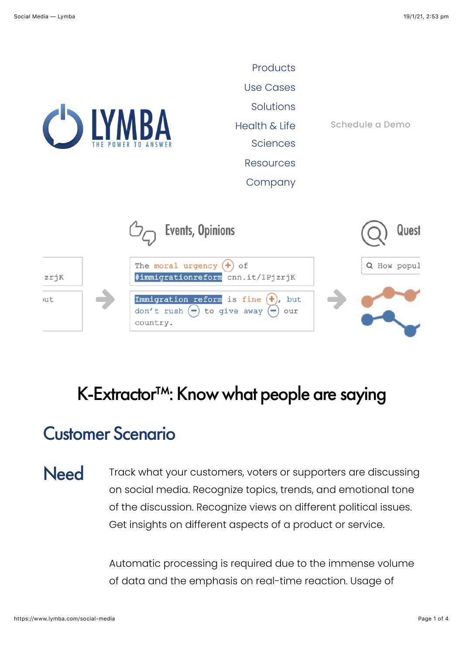

### K-Extractor<sup>™</sup>: Know what people are saying

## Customer Scenario

Need Track what your customers, voters or supporters are discussing on social media. Recognize topics, trends, and emotional tone of the discussion. Recognize views on different political issues. Get insights on different aspects of a product or service.

> Automatic processing is required due to the immense volume of data and the emphasis on real-time reaction. Usage of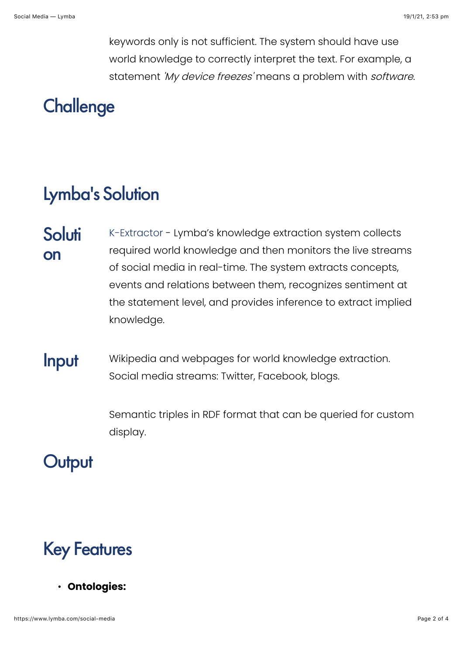keywords only is not sufficient. The system should have use world knowledge to correctly interpret the text. For example, a statement 'My device freezes' means a problem with software.

# **Challenge**

## Lymba's Solution

- **Soluti** on [K-Extractor](https://www.lymba.com/knowledge-extractor) - Lymba's knowledge extraction system collects required world knowledge and then monitors the live streams of social media in real-time. The system extracts concepts, events and relations between them, recognizes sentiment at the statement level, and provides inference to extract implied knowledge.
- **Input** Wikipedia and webpages for world knowledge extraction. Social media streams: Twitter, Facebook, blogs.

Semantic triples in RDF format that can be queried for custom display.

#### **Output**

# Key Features

• **Ontologies:**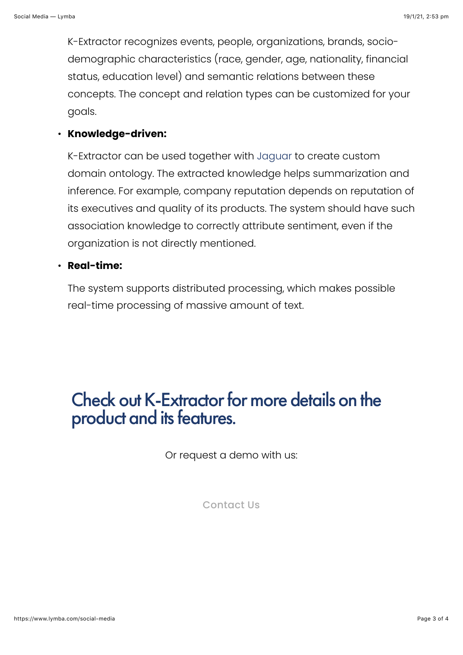K-Extractor recognizes events, people, organizations, brands, sociodemographic characteristics (race, gender, age, nationality, financial status, education level) and semantic relations between these concepts. The concept and relation types can be customized for your goals.

#### • **Knowledge-driven:**

K-Extractor can be used together with [Jaguar](https://www.lymba.com/jaguar) to create custom domain ontology. The extracted knowledge helps summarization and inference. For example, company reputation depends on reputation of its executives and quality of its products. The system should have such association knowledge to correctly attribute sentiment, even if the organization is not directly mentioned.

#### • **Real-time:**

The system supports distributed processing, which makes possible real-time processing of massive amount of text.

### Check out [K-Extractor](https://www.lymba.com/knowledge-extractor) for more details on the product and its features.

Or request a demo with us:

[Contact Us](https://www.lymba.com/contact)